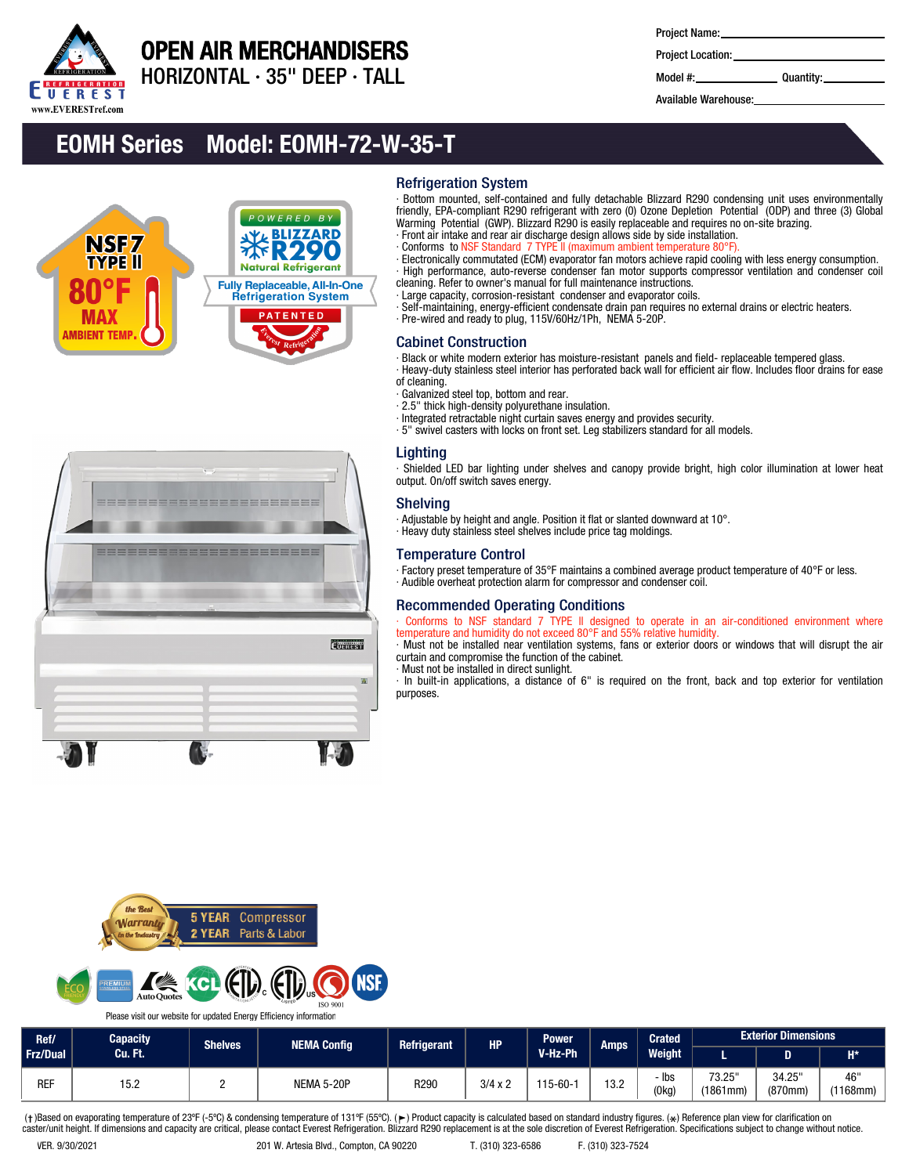

## OPEN AIR MERCHANDISERS

HORIZONTAL ∙ 35" DEEP ∙ TALL

Project Name:

Project Location: Model #: Quantity:

Available Warehouse:

## EOMH Series Model: EOMH-72-W-35-T

==========

**EUEREST** 



## Refrigeration System

Bottom mounted, self-contained and fully detachable Blizzard R290 condensing unit uses environmentally friendly, EPA-compliant R290 refrigerant with zero (0) Ozone Depletion Potential (ODP) and three (3) Global Warming Potential (GWP). Blizzard R290 is easily replaceable and requires no on-site brazing.

- · Front air intake and rear air discharge design allows side by side installation.
- · Conforms to NSF Standard 7 TYPE ll (maximum ambient temperature 80°F).

· Electronically commutated (ECM) evaporator fan motors achieve rapid cooling with less energy consumption. · High performance, auto-reverse condenser fan motor supports compressor ventilation and condenser coil cleaning. Refer to owner's manual for full maintenance instructions.

· Large capacity, corrosion-resistant condenser and evaporator coils.

· Self-maintaining, energy-efficient condensate drain pan requires no external drains or electric heaters. · Pre-wired and ready to plug, 115V/60Hz/1Ph, NEMA 5-20P.

#### Cabinet Construction

· Black or white modern exterior has moisture-resistant panels and field- replaceable tempered glass.

· Heavy-duty stainless steel interior has perforated back wall for efficient air flow. Includes floor drains for ease of cleaning.

- · Galvanized steel top, bottom and rear.
- · 2.5" thick high-density polyurethane insulation.
- · Integrated retractable night curtain saves energy and provides security.
- · 5" swivel casters with locks on front set. Leg stabilizers standard for all models.

## Lighting

· Shielded LED bar lighting under shelves and canopy provide bright, high color illumination at lower heat output. On/off switch saves energy.

## Shelving

· Adjustable by height and angle. Position it flat or slanted downward at 10°.

· Heavy duty stainless steel shelves include price tag moldings.

## Temperature Control

· Factory preset temperature of 35°F maintains a combined average product temperature of 40°F or less. · Audible overheat protection alarm for compressor and condenser coil.

#### Recommended Operating Conditions

Conforms to NSF standard 7 TYPE II designed to operate in an air-conditioned environment where temperature and humidity do not exceed 80°F and 55% relative humidity.

· Must not be installed near ventilation systems, fans or exterior doors or windows that will disrupt the air curtain and compromise the function of the cabinet.

· Must not be installed in direct sunlight.

· In built-in applications, a distance of 6" is required on the front, back and top exterior for ventilation purposes.





Please visit our website for updated Energy Efficiency information

| Ref/            | Capacity | <b>Power</b><br><b>Refrigerant</b><br><b>HP</b><br><b>Shelves</b><br><b>NEMA Config</b><br>V-Hz-Ph | Amps       | <b>Crated</b> | <b>Exterior Dimensions</b> |              |      |                |                    |                   |                       |
|-----------------|----------|----------------------------------------------------------------------------------------------------|------------|---------------|----------------------------|--------------|------|----------------|--------------------|-------------------|-----------------------|
| <b>Frz/Dual</b> | Cu. Ft.  |                                                                                                    |            |               |                            |              |      | Weight         |                    |                   | $H^*$                 |
| <b>REF</b>      | 15.2     |                                                                                                    | NEMA 5-20P | R290          | $3/4 \times 2$             | $115 - 60 -$ | 13.2 | - Ibs<br>(0kg) | 73.25"<br>(1861mm) | 34.25"<br>(870mm) | 46"<br>$(1168$ mm $)$ |

(†)Based on evaporating temperature of 23ºF (-5ºC) & condensing temperature of 131ºF (55ºC). (ך) Product capacity is calculated based on standard industry figures. (\*) Reference plan view for clarification on<br>caster/unit h